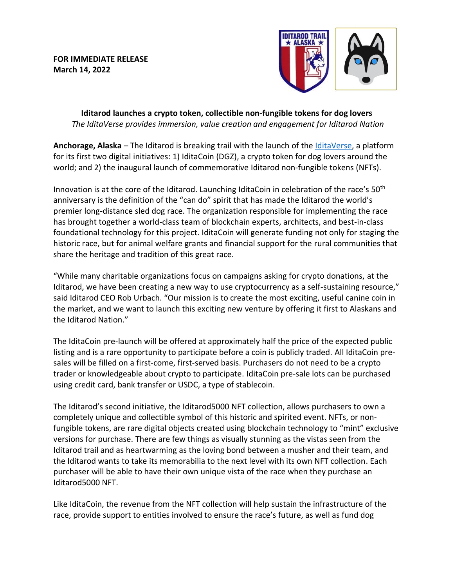**FOR IMMEDIATE RELEASE March 14, 2022**



**Iditarod launches a crypto token, collectible non-fungible tokens for dog lovers**  *The IditaVerse provides immersion, value creation and engagement for Iditarod Nation*

**Anchorage, Alaska** – The Iditarod is breaking trail with the launch of the [IditaVerse,](https://www.iditaverse.io/) a platform for its first two digital initiatives: 1) IditaCoin (DGZ), a crypto token for dog lovers around the world; and 2) the inaugural launch of commemorative Iditarod non-fungible tokens (NFTs).

Innovation is at the core of the Iditarod. Launching IditaCoin in celebration of the race's 50<sup>th</sup> anniversary is the definition of the "can do" spirit that has made the Iditarod the world's premier long-distance sled dog race. The organization responsible for implementing the race has brought together a world-class team of blockchain experts, architects, and best-in-class foundational technology for this project. IditaCoin will generate funding not only for staging the historic race, but for animal welfare grants and financial support for the rural communities that share the heritage and tradition of this great race.

"While many charitable organizations focus on campaigns asking for crypto donations, at the Iditarod, we have been creating a new way to use cryptocurrency as a self-sustaining resource," said Iditarod CEO Rob Urbach. "Our mission is to create the most exciting, useful canine coin in the market, and we want to launch this exciting new venture by offering it first to Alaskans and the Iditarod Nation."

The IditaCoin pre-launch will be offered at approximately half the price of the expected public listing and is a rare opportunity to participate before a coin is publicly traded. All IditaCoin presales will be filled on a first-come, first-served basis. Purchasers do not need to be a crypto trader or knowledgeable about crypto to participate. IditaCoin pre-sale lots can be purchased using credit card, bank transfer or USDC, a type of stablecoin.

The Iditarod's second initiative, the Iditarod5000 NFT collection, allows purchasers to own a completely unique and collectible symbol of this historic and spirited event. NFTs, or nonfungible tokens, are rare digital objects created using blockchain technology to "mint" exclusive versions for purchase. There are few things as visually stunning as the vistas seen from the Iditarod trail and as heartwarming as the loving bond between a musher and their team, and the Iditarod wants to take its memorabilia to the next level with its own NFT collection. Each purchaser will be able to have their own unique vista of the race when they purchase an Iditarod5000 NFT.

Like IditaCoin, the revenue from the NFT collection will help sustain the infrastructure of the race, provide support to entities involved to ensure the race's future, as well as fund dog